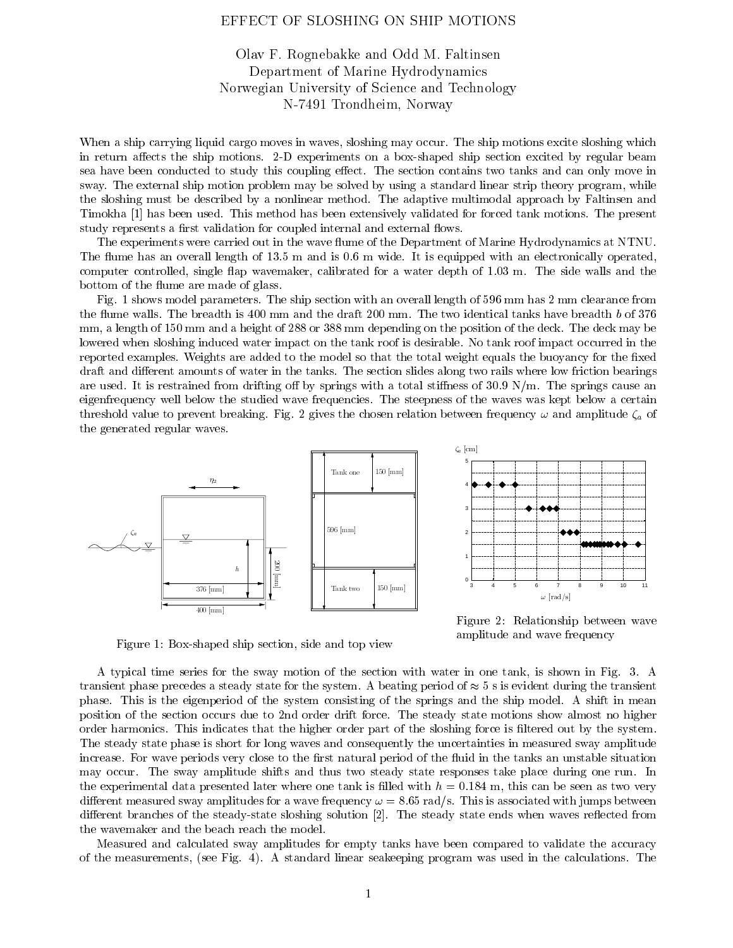## EFFECT OF SLOSHING ON SHIP MOTIONS

## Olav F. Rognebakke and Odd M. Faltinsen Department of Marine HydrodynamicsNorwegian University of Science and Technology N-7491 Trondheim, Norway

When a ship carrying liquid cargo moves in waves, sloshing may occur. The ship motions excite sloshing which in return affects the ship motions. 2-D experiments on a box-shaped ship section excited by regular beam sea have been conducted to study this coupling effect. The section contains two tanks and can only move in sway. The external ship motion problem may be solved by using a standard linear strip theory program, while the sloshing must be described by a nonlinear method. The adaptive multimodal approach by Faltinsen and Timokha [1] has been used. This method has been extensively validated for forced tank motions. The present study represents a first validation for coupled internal and external flows.

The experiments were carried out in the wave flume of the Department of Marine Hydrodynamics at NTNU. The flume has an overall length of 13.5 m and is 0.6 m wide. It is equipped with an electronically operated, computer controlled, single flap wavemaker, calibrated for a water depth of 1.03 m. The side walls and the bottom of the flume are made of glass.

Fig. 1 shows model parameters. The ship section with an overall length of 596 mm has 2 mm clearance from the flume walls. The breadth is 400 mm and the draft 200 mm. The two identical tanks have breadth b of 376 mm, a length of 150 mm and a height of 288 or 388 mm depending on the position of the deck. The deck may be lowered when sloshing induced water impact on the tank roof is desirable. No tank roof impact occurred in the reported examples. Weights are added to the model so that the total weight equals the buoyancy for the fixed draft and different amounts of water in the tanks. The section slides along two rails where low friction bearings are used. It is restrained from drifting off by springs with a total stiffness of  $30.9 \text{ N/m}$ . The springs cause an eigenfrequency well below the studied wave frequencies. The steepness of the waves was kept below a certain threshold value to prevent breaking. Fig. 2 gives the chosen relation between frequency  $\omega$  and amplitude  $\zeta_a$  of the generated regular waves.





Figure 2: Relationship between wave amplitude and wave frequency

Figure 1: Box-shaped ship section, side and top view

A typical time series for the sway motion of the section with water in one tank, is shown in Fig. 3. A transient phase precedes a steady state for the system. A beating period of  $\approx$  5 s is evident during the transient phase. This is the eigenperiod of the system consisting of the springs and the ship model. A shift in mean position of the section occurs due to 2nd order drift force. The steady state motions show almost no higher order harmonics. This indicates that the higher order part of the sloshing force is ltered out by the system. The steady state phase is short for long waves and consequently the uncertainties in measured sway amplitude increase. For wave periods very close to the first natural period of the fluid in the tanks an unstable situation may occur. The sway amplitude shifts and thus two steady state responses take place during one run. In the experimental data presented later where one tank is filled with  $h = 0.184$  m, this can be seen as two very different measured sway amplitudes for a wave frequency  $\omega = 8.65$  rad/s. This is associated with jumps between different branches of the steady-state sloshing solution [2]. The steady state ends when waves reflected from the wavemaker and the beach reach the model.

Measured and calculated sway amplitudes for empty tanks have been compared to validate the accuracy of the measurements, (see Fig. 4). A standard linear seakeeping program was used in the calculations. The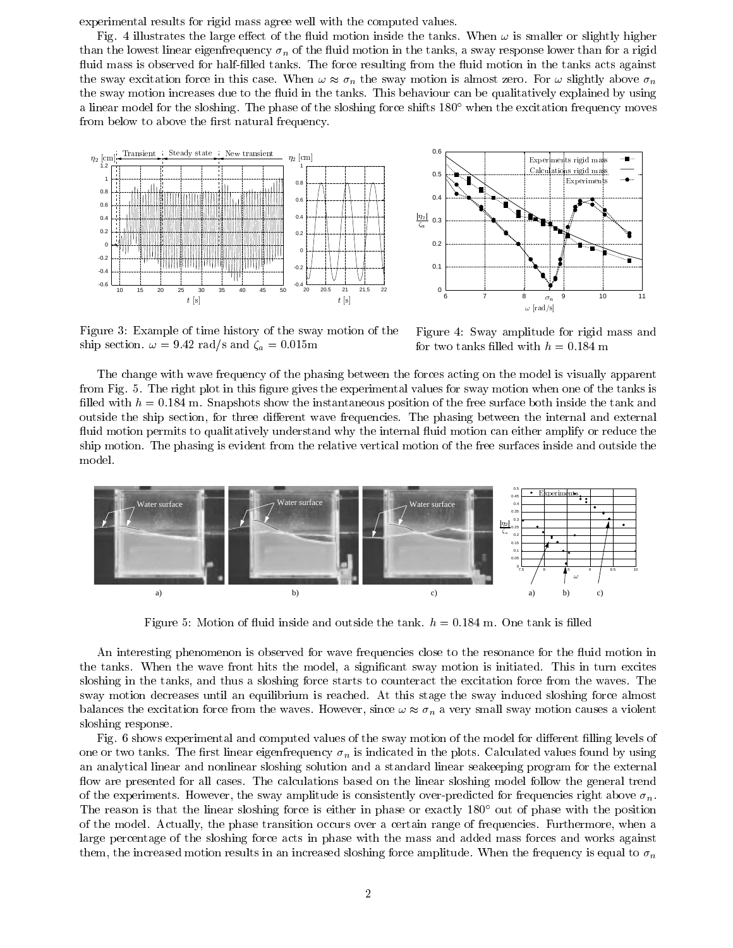experimental results for rigid mass agree well with the computed values.

Fig. 4 illustrates the large effect of the fluid motion inside the tanks. When  $\omega$  is smaller or slightly higher than the lowest linear eigenfrequency  $\sigma_n$  of the fluid motion in the tanks, a sway response lower than for a rigid fluid mass is observed for half-filled tanks. The force resulting from the fluid motion in the tanks acts against the sway excitation force in this case. When  $\omega \approx \sigma_n$  the sway motion is almost zero. For  $\omega$  slightly above  $\sigma_n$ the sway motion increases due to the fluid in the tanks. This behaviour can be qualitatively explained by using a linear model for the sloshing. The phase of the sloshing force shifts  $180^\circ$  when the excitation frequency moves from below to above the first natural frequency.





Figure 3: Example of time history of the sway motion of the ship section.  $\omega = 9.42$  rad/s and  $\zeta_a = 0.015$ m

Figure 4: Sway amplitude for rigid mass and for two tanks filled with  $h = 0.184$  m

The change with wave frequency of the phasing between the forces acting on the model is visually apparent from Fig. 5. The right plot in this figure gives the experimental values for sway motion when one of the tanks is filled with  $h = 0.184$  m. Snapshots show the instantaneous position of the free surface both inside the tank and outside the ship section, for three different wave frequencies. The phasing between the internal and external fluid motion permits to qualitatively understand why the internal fluid motion can either amplify or reduce the ship motion. The phasing is evident from the relative vertical motion of the free surfaces inside and outside the model.



Figure 5: Motion of fluid inside and outside the tank.  $h = 0.184$  m. One tank is filled

An interesting phenomenon is observed for wave frequencies close to the resonance for the fluid motion in the tanks. When the wave front hits the model, a significant sway motion is initiated. This in turn excites sloshing in the tanks, and thus a sloshing force starts to counteract the excitation force from the waves. The sway motion decreases until an equilibrium is reached. At this stage the sway induced sloshing force almost balances the excitation force from the waves. However, since  $\omega \approx \sigma_n$  a very small sway motion causes a violent sloshing response.

Fig. 6 shows experimental and computed values of the sway motion of the model for different filling levels of one or two tanks. The first linear eigenfrequency  $\sigma_n$  is indicated in the plots. Calculated values found by using an analytical linear and nonlinear sloshing solution and a standard linear seakeeping program for the external flow are presented for all cases. The calculations based on the linear sloshing model follow the general trend of the experiments. However, the sway amplitude is consistently over-predicted for frequencies right above  $\sigma_n$ . The reason is that the linear sloshing force is either in phase or exactly 180° out of phase with the position of the model. Actually, the phase transition occurs over a certain range of frequencies. Furthermore, when a large percentage of the sloshing force acts in phase with the mass and added mass forces and works against them, the increased motion results in an increased sloshing force amplitude. When the frequency is equal to  $\sigma_n$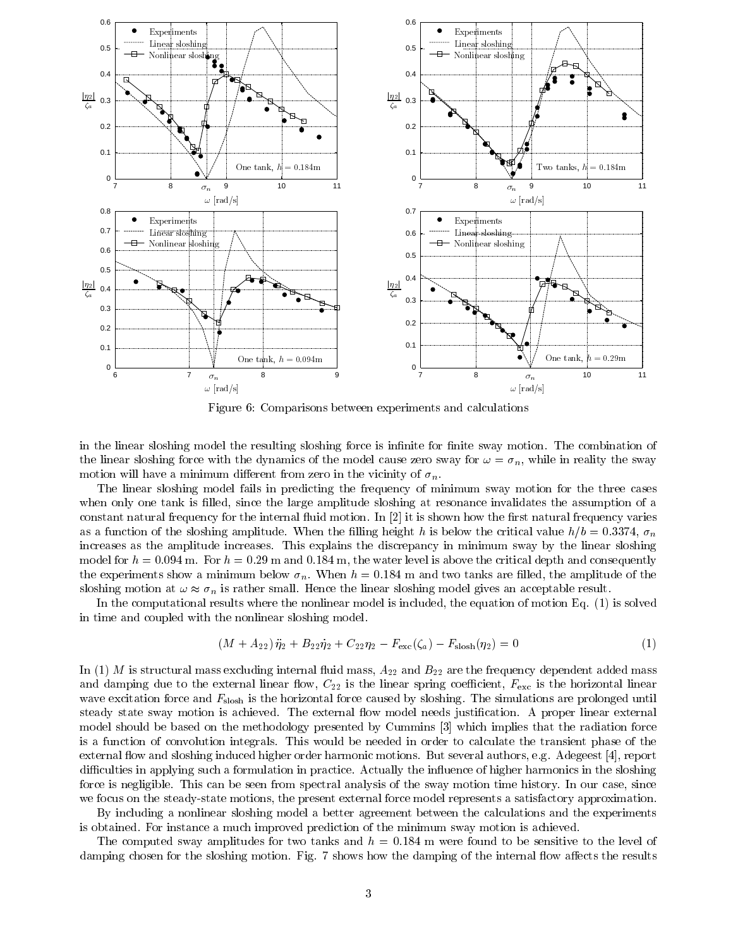

Figure 6: Comparisons between experiments and calculations

in the linear sloshing model the resulting sloshing force is infinite for finite sway motion. The combination of the linear sloshing force with the dynamics of the model cause zero sway for  $\omega = \sigma_n$ , while in reality the sway motion will have a minimum different from zero in the vicinity of  $\sigma_n$ .

The linear sloshing model fails in predicting the frequency of minimum sway motion for the three cases when only one tank is filled, since the large amplitude sloshing at resonance invalidates the assumption of a constant natural frequency for the internal fluid motion. In  $[2]$  it is shown how the first natural frequency varies as a function of the sloshing amplitude. When the filling height h is below the critical value  $h/b = 0.3374$ ,  $\sigma_n$ increases as the amplitude increases. This explains the discrepancy in minimum sway by the linear sloshing model for  $h = 0.094$  m. For  $h = 0.29$  m and 0.184 m, the water level is above the critical depth and consequently the experiments show a minimum below  $\sigma_n$ . When  $h = 0.184$  m and two tanks are filled, the amplitude of the sloshing motion at  $\omega \approx \sigma_n$  is rather small. Hence the linear sloshing model gives an acceptable result.

In the computational results where the nonlinear model is included, the equation of motion Eq. (1) is solved in time and coupled with the nonlinear sloshing model.

$$
(M + A_{22}) \ddot{\eta}_2 + B_{22} \dot{\eta}_2 + C_{22} \eta_2 - F_{\text{exc}}(\zeta_a) - F_{\text{slosh}}(\eta_2) = 0 \tag{1}
$$

In (1) M is structural mass excluding internal fluid mass,  $A_{22}$  and  $B_{22}$  are the frequency dependent added mass and damping due to the external linear flow,  $C_{22}$  is the linear spring coefficient,  $F_{\text{exc}}$  is the horizontal linear wave excitation force and  $F_{\text{slosh}}$  is the horizontal force caused by sloshing. The simulations are prolonged until steady state sway motion is achieved. The external flow model needs justification. A proper linear external model should be based on the methodology presented by Cummins [3] which implies that the radiation force is a function of convolution integrals. This would be needed in order to calculate the transient phase of the external flow and sloshing induced higher order harmonic motions. But several authors, e.g. Adegeest [4], report difficulties in applying such a formulation in practice. Actually the influence of higher harmonics in the sloshing force is negligible. This can be seen from spectral analysis of the sway motion time history. In our case, since we focus on the steady-state motions, the present external force model represents a satisfactory approximation.

By including a nonlinear sloshing model a better agreement between the calculations and the experiments is obtained. For instance a much improved prediction of the minimum sway motion is achieved.

The computed sway amplitudes for two tanks and  $h = 0.184$  m were found to be sensitive to the level of damping chosen for the sloshing motion. Fig. 7 shows how the damping of the internal flow affects the results